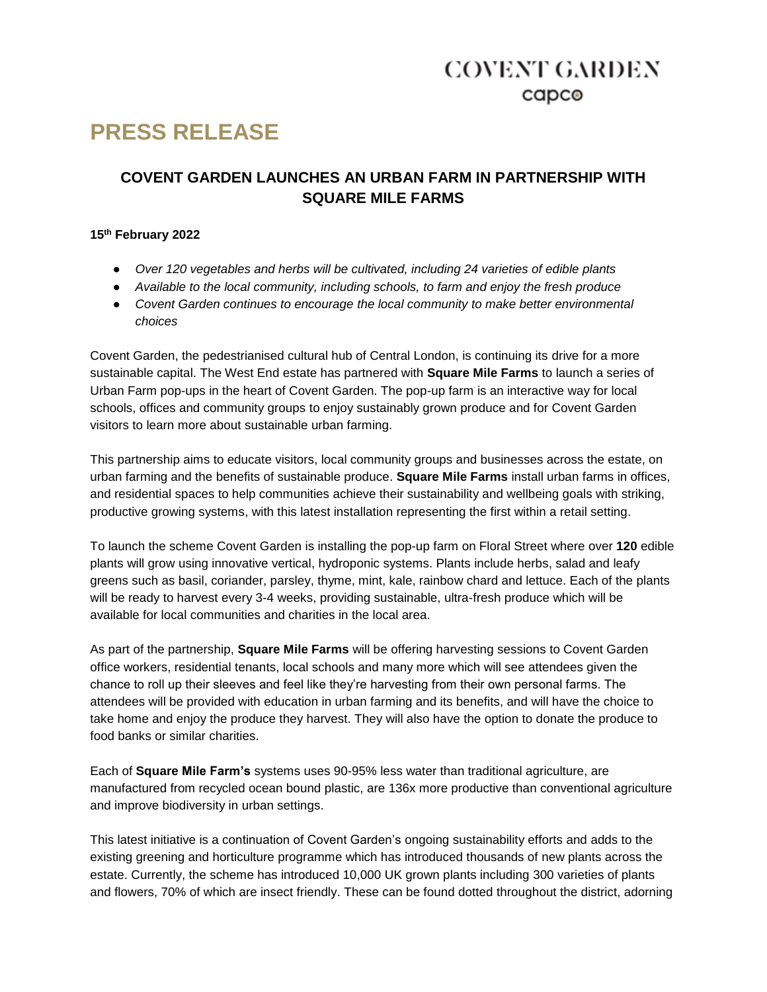## **COVENT GARDEN** capco

# **PRESS RELEASE**

### **COVENT GARDEN LAUNCHES AN URBAN FARM IN PARTNERSHIP WITH SQUARE MILE FARMS**

### **15th February 2022**

- *Over 120 vegetables and herbs will be cultivated, including 24 varieties of edible plants*
- *Available to the local community, including schools, to farm and enjoy the fresh produce*
- *Covent Garden continues to encourage the local community to make better environmental choices*

Covent Garden, the pedestrianised cultural hub of Central London, is continuing its drive for a more sustainable capital. The West End estate has partnered with **Square Mile Farms** to launch a series of Urban Farm pop-ups in the heart of Covent Garden. The pop-up farm is an interactive way for local schools, offices and community groups to enjoy sustainably grown produce and for Covent Garden visitors to learn more about sustainable urban farming.

This partnership aims to educate visitors, local community groups and businesses across the estate, on urban farming and the benefits of sustainable produce. **Square Mile Farms** install urban farms in offices, and residential spaces to help communities achieve their sustainability and wellbeing goals with striking, productive growing systems, with this latest installation representing the first within a retail setting.

To launch the scheme Covent Garden is installing the pop-up farm on Floral Street where over **120** edible plants will grow using innovative vertical, hydroponic systems. Plants include herbs, salad and leafy greens such as basil, coriander, parsley, thyme, mint, kale, rainbow chard and lettuce. Each of the plants will be ready to harvest every 3-4 weeks, providing sustainable, ultra-fresh produce which will be available for local communities and charities in the local area.

As part of the partnership, **Square Mile Farms** will be offering harvesting sessions to Covent Garden office workers, residential tenants, local schools and many more which will see attendees given the chance to roll up their sleeves and feel like they're harvesting from their own personal farms. The attendees will be provided with education in urban farming and its benefits, and will have the choice to take home and enjoy the produce they harvest. They will also have the option to donate the produce to food banks or similar charities.

Each of **Square Mile Farm's** systems uses 90-95% less water than traditional agriculture, are manufactured from recycled ocean bound plastic, are 136x more productive than conventional agriculture and improve biodiversity in urban settings.

This latest initiative is a continuation of Covent Garden's ongoing sustainability efforts and adds to the existing greening and horticulture programme which has introduced thousands of new plants across the estate. Currently, the scheme has introduced 10,000 UK grown plants including 300 varieties of plants and flowers, 70% of which are insect friendly. These can be found dotted throughout the district, adorning